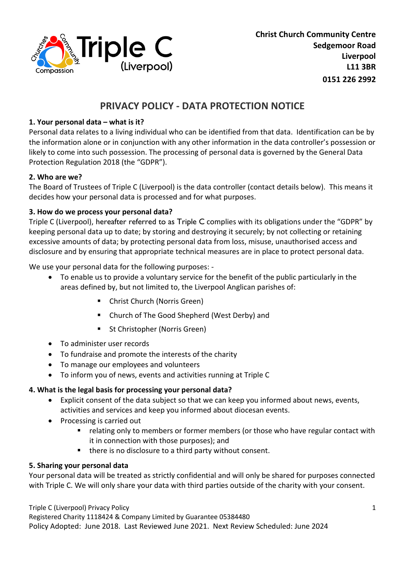

# **PRIVACY POLICY - DATA PROTECTION NOTICE**

# **1. Your personal data – what is it?**

Personal data relates to a living individual who can be identified from that data. Identification can be by the information alone or in conjunction with any other information in the data controller's possession or likely to come into such possession. The processing of personal data is governed by the General Data Protection Regulation 2018 (the "GDPR").

## **2. Who are we?**

The Board of Trustees of Triple C (Liverpool) is the data controller (contact details below). This means it decides how your personal data is processed and for what purposes.

## **3. How do we process your personal data?**

Triple C (Liverpool), hereafter referred to as Triple C complies with its obligations under the "GDPR" by keeping personal data up to date; by storing and destroying it securely; by not collecting or retaining excessive amounts of data; by protecting personal data from loss, misuse, unauthorised access and disclosure and by ensuring that appropriate technical measures are in place to protect personal data.

We use your personal data for the following purposes: -

- To enable us to provide a voluntary service for the benefit of the public particularly in the areas defined by, but not limited to, the Liverpool Anglican parishes of:
	- **E** Christ Church (Norris Green)
	- Church of The Good Shepherd (West Derby) and
	- St Christopher (Norris Green)
- To administer user records
- To fundraise and promote the interests of the charity
- To manage our employees and volunteers
- To inform you of news, events and activities running at Triple C

## **4. What is the legal basis for processing your personal data?**

- Explicit consent of the data subject so that we can keep you informed about news, events, activities and services and keep you informed about diocesan events.
- Processing is carried out
	- **F** relating only to members or former members (or those who have regular contact with it in connection with those purposes); and
	- there is no disclosure to a third party without consent.

## **5. Sharing your personal data**

Your personal data will be treated as strictly confidential and will only be shared for purposes connected with Triple C. We will only share your data with third parties outside of the charity with your consent.

#### Triple C (Liverpool) Privacy Policy

Registered Charity 1118424 & Company Limited by Guarantee 05384480 Policy Adopted: June 2018. Last Reviewed June 2021. Next Review Scheduled: June 2024